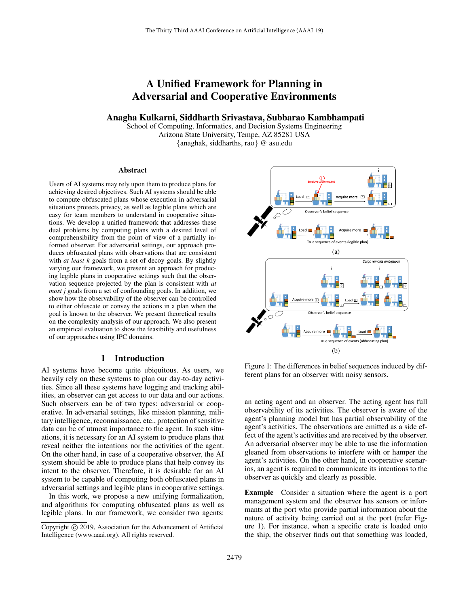# A Unified Framework for Planning in Adversarial and Cooperative Environments

## Anagha Kulkarni, Siddharth Srivastava, Subbarao Kambhampati

School of Computing, Informatics, and Decision Systems Engineering Arizona State University, Tempe, AZ 85281 USA {anaghak, siddharths, rao} @ asu.edu

#### Abstract

Users of AI systems may rely upon them to produce plans for achieving desired objectives. Such AI systems should be able to compute obfuscated plans whose execution in adversarial situations protects privacy, as well as legible plans which are easy for team members to understand in cooperative situations. We develop a unified framework that addresses these dual problems by computing plans with a desired level of comprehensibility from the point of view of a partially informed observer. For adversarial settings, our approach produces obfuscated plans with observations that are consistent with *at least k* goals from a set of decoy goals. By slightly varying our framework, we present an approach for producing legible plans in cooperative settings such that the observation sequence projected by the plan is consistent with *at most j* goals from a set of confounding goals. In addition, we show how the observability of the observer can be controlled to either obfuscate or convey the actions in a plan when the goal is known to the observer. We present theoretical results on the complexity analysis of our approach. We also present an empirical evaluation to show the feasibility and usefulness of our approaches using IPC domains.

#### 1 Introduction

AI systems have become quite ubiquitous. As users, we heavily rely on these systems to plan our day-to-day activities. Since all these systems have logging and tracking abilities, an observer can get access to our data and our actions. Such observers can be of two types: adversarial or cooperative. In adversarial settings, like mission planning, military intelligence, reconnaissance, etc., protection of sensitive data can be of utmost importance to the agent. In such situations, it is necessary for an AI system to produce plans that reveal neither the intentions nor the activities of the agent. On the other hand, in case of a cooperative observer, the AI system should be able to produce plans that help convey its intent to the observer. Therefore, it is desirable for an AI system to be capable of computing both obfuscated plans in adversarial settings and legible plans in cooperative settings.

In this work, we propose a new unifying formalization, and algorithms for computing obfuscated plans as well as legible plans. In our framework, we consider two agents:



Figure 1: The differences in belief sequences induced by different plans for an observer with noisy sensors.

an acting agent and an observer. The acting agent has full observability of its activities. The observer is aware of the agent's planning model but has partial observability of the agent's activities. The observations are emitted as a side effect of the agent's activities and are received by the observer. An adversarial observer may be able to use the information gleaned from observations to interfere with or hamper the agent's activities. On the other hand, in cooperative scenarios, an agent is required to communicate its intentions to the observer as quickly and clearly as possible.

Example Consider a situation where the agent is a port management system and the observer has sensors or informants at the port who provide partial information about the nature of activity being carried out at the port (refer Figure 1). For instance, when a specific crate is loaded onto the ship, the observer finds out that something was loaded,

Copyright (c) 2019, Association for the Advancement of Artificial Intelligence (www.aaai.org). All rights reserved.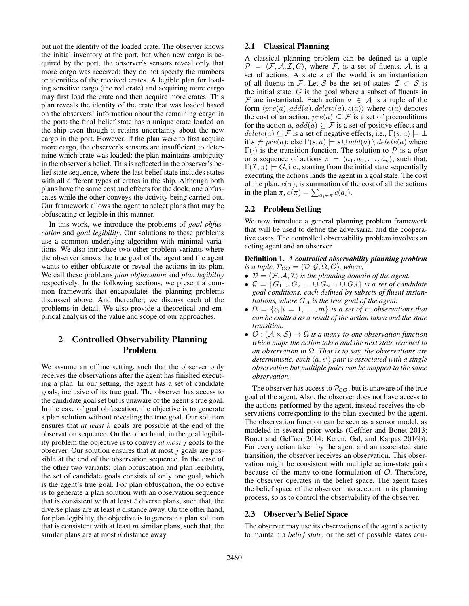but not the identity of the loaded crate. The observer knows the initial inventory at the port, but when new cargo is acquired by the port, the observer's sensors reveal only that more cargo was received; they do not specify the numbers or identities of the received crates. A legible plan for loading sensitive cargo (the red crate) and acquiring more cargo may first load the crate and then acquire more crates. This plan reveals the identity of the crate that was loaded based on the observers' information about the remaining cargo in the port: the final belief state has a unique crate loaded on the ship even though it retains uncertainty about the new cargo in the port. However, if the plan were to first acquire more cargo, the observer's sensors are insufficient to determine which crate was loaded: the plan maintains ambiguity in the observer's belief. This is reflected in the observer's belief state sequence, where the last belief state includes states with all different types of crates in the ship. Although both plans have the same cost and effects for the dock, one obfuscates while the other conveys the activity being carried out. Our framework allows the agent to select plans that may be obfuscating or legible in this manner.

In this work, we introduce the problems of *goal obfuscation* and *goal legibility*. Our solutions to these problems use a common underlying algorithm with minimal variations. We also introduce two other problem variants where the observer knows the true goal of the agent and the agent wants to either obfuscate or reveal the actions in its plan. We call these problems *plan obfuscation* and *plan legibility* respectively. In the following sections, we present a common framework that encapsulates the planning problems discussed above. And thereafter, we discuss each of the problems in detail. We also provide a theoretical and empirical analysis of the value and scope of our approaches.

## 2 Controlled Observability Planning Problem

We assume an offline setting, such that the observer only receives the observations after the agent has finished executing a plan. In our setting, the agent has a set of candidate goals, inclusive of its true goal. The observer has access to the candidate goal set but is unaware of the agent's true goal. In the case of goal obfuscation, the objective is to generate a plan solution without revealing the true goal. Our solution ensures that *at least* k goals are possible at the end of the observation sequence. On the other hand, in the goal legibility problem the objective is to convey *at most* j goals to the observer. Our solution ensures that at most  $j$  goals are possible at the end of the observation sequence. In the case of the other two variants: plan obfuscation and plan legibility, the set of candidate goals consists of only one goal, which is the agent's true goal. For plan obfuscation, the objective is to generate a plan solution with an observation sequence that is consistent with at least  $\ell$  diverse plans, such that, the diverse plans are at least  $d$  distance away. On the other hand, for plan legibility, the objective is to generate a plan solution that is consistent with at least  $m$  similar plans, such that, the similar plans are at most  $d$  distance away.

## 2.1 Classical Planning

A classical planning problem can be defined as a tuple  $\mathcal{P} = \langle \mathcal{F}, \mathcal{A}, \mathcal{I}, G \rangle$ , where  $\mathcal{F}$ , is a set of fluents,  $\mathcal{A}$ , is a set of actions. A state s of the world is an instantiation of all fluents in F. Let S be the set of states.  $\mathcal{I} \subset \mathcal{S}$  is the initial state.  $G$  is the goal where a subset of fluents in F are instantiated. Each action  $a \in \mathcal{A}$  is a tuple of the form  $\langle pre(a), add(a), delete(a), c(a) \rangle$  where  $c(a)$  denotes the cost of an action,  $pre(a) \subseteq \mathcal{F}$  is a set of preconditions for the action a,  $add(a) \subseteq \mathcal{F}$  is a set of positive effects and  $delete(a) \subseteq \mathcal{F}$  is a set of negative effects, i.e.,  $\Gamma(s, a) \models \bot$ if  $s \not\models pre(a)$ ; else  $\Gamma(s, a) \models s \cup add(a) \setminus delete(a)$  where  $\Gamma(\cdot)$  is the transition function. The solution to P is a *plan* or a sequence of actions  $\pi = \langle a_1, a_2, \dots, a_n \rangle$ , such that,  $\Gamma(\mathcal{I}, \pi) \models G$ , i.e., starting from the initial state sequentially executing the actions lands the agent in a goal state. The cost of the plan,  $c(\pi)$ , is summation of the cost of all the actions in the plan  $\pi$ ,  $c(\pi) = \sum_{a_i \in \pi} c(a_i)$ .

#### 2.2 Problem Setting

We now introduce a general planning problem framework that will be used to define the adversarial and the cooperative cases. The controlled observability problem involves an acting agent and an observer.

## Definition 1. *A controlled observability planning problem is a tuple,*  $P_{CO} = \langle \mathcal{D}, \mathcal{G}, \Omega, \mathcal{O} \rangle$ *, where,*

- $\mathcal{D} = \langle \mathcal{F}, \mathcal{A}, \mathcal{I} \rangle$  *is the planning domain of the agent.*
- $\mathcal{G} = \{G_1 \cup G_2 \dots \cup G_{n-1} \cup G_A\}$  *is a set of candidate goal conditions, each defined by subsets of fluent instantiations, where*  $G_A$  *is the true goal of the agent.*
- $\Omega = \{o_i | i = 1, \ldots, m\}$  *is a set of m observations that can be emitted as a result of the action taken and the state transition.*
- $\mathcal{O}: (\mathcal{A} \times \mathcal{S}) \rightarrow \Omega$  *is a many-to-one observation function which maps the action taken and the next state reached to an observation in* Ω*. That is to say, the observations are*  $deterministic$ , each  $\langle a, s' \rangle$  pair is associated with a single *observation but multiple pairs can be mapped to the same observation.*

The observer has access to  $P_{CO}$ , but is unaware of the true goal of the agent. Also, the observer does not have access to the actions performed by the agent, instead receives the observations corresponding to the plan executed by the agent. The observation function can be seen as a sensor model, as modeled in several prior works (Geffner and Bonet 2013; Bonet and Geffner 2014; Keren, Gal, and Karpas 2016b). For every action taken by the agent and an associated state transition, the observer receives an observation. This observation might be consistent with multiple action-state pairs because of the many-to-one formulation of  $\mathcal{O}$ . Therefore, the observer operates in the belief space. The agent takes the belief space of the observer into account in its planning process, so as to control the observability of the observer.

#### 2.3 Observer's Belief Space

The observer may use its observations of the agent's activity to maintain a *belief state*, or the set of possible states con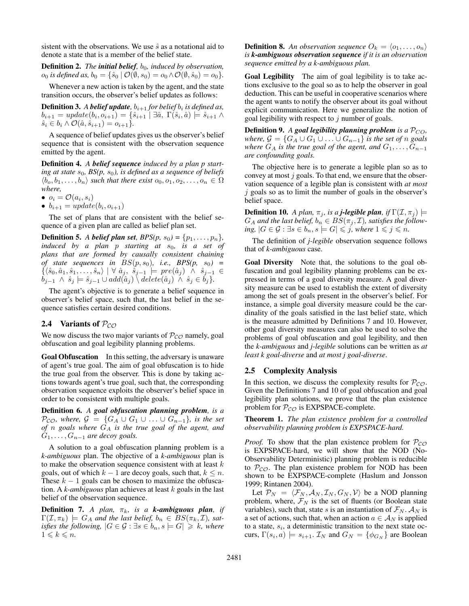sistent with the observations. We use  $\hat{s}$  as a notational aid to denote a state that is a member of the belief state.

**Definition 2.** *The initial belief*,  $b_0$ *, induced by observation,*  $o_0$  *is defined as,*  $b_0 = \{\hat{s}_0 \mid \mathcal{O}(\emptyset, s_0) = o_0 \wedge \mathcal{O}(\emptyset, \hat{s}_0) = o_0\}.$ 

Whenever a new action is taken by the agent, and the state transition occurs, the observer's belief updates as follows:

**Definition 3.** A *belief update*,  $b_{i+1}$  for belief  $b_i$  is defined as,  $b_{i+1} = update(b_i, o_{i+1}) = \{\hat{s}_{i+1} \mid \exists \hat{a}, \Gamma(\hat{s}_i, \hat{a}) \models \hat{s}_{i+1} \land$  $\hat{s}_i \in b_i \wedge \mathcal{O}(\hat{a}, \hat{s}_{i+1}) = o_{i+1}$ .

A sequence of belief updates gives us the observer's belief sequence that is consistent with the observation sequence emitted by the agent.

Definition 4. *A belief sequence induced by a plan p starting at state*  $s_0$ *, BS(p, s<sub>0</sub>), is defined as a sequence of beliefs*  $\langle b_o, b_1, \ldots, b_n \rangle$  *such that there exist*  $o_0, o_1, o_2, \ldots, o_n \in \Omega$ *where,*

- $\bullet$   $o_i = \mathcal{O}(a_i, s_i)$
- $b_{i+1} = update(b_i, o_{i+1})$

The set of plans that are consistent with the belief sequence of a given plan are called as belief plan set.

**Definition 5.** *A belief plan set, BPS(p, s<sub>0</sub>) = {* $p_1, \ldots, p_n$ *}, induced by a plan p starting at*  $s_0$ *, is a set of plans that are formed by causally consistent chaining of state sequences in*  $BS(p, s_0)$ *, i.e., BPS(p, s<sub>0</sub>) =*  $\{\langle \hat{s}_0, \hat{a}_1, \hat{s}_1, \ldots, \hat{s}_n \rangle \mid \forall \hat{a}_j, \hat{s}_{j-1} \models pre(\hat{a}_j) \land \hat{s}_{j-1} \in$  $b_{j-1} \wedge \hat{s}_j \models \hat{s}_{j-1} \cup add(\hat{a}_j) \setminus delete(\hat{a}_j) \wedge \hat{s}_j \in b_j$ *}*.

The agent's objective is to generate a belief sequence in observer's belief space, such that, the last belief in the sequence satisfies certain desired conditions.

## 2.4 Variants of  $P_{CO}$

We now discuss the two major variants of  $P_{CO}$  namely, goal obfuscation and goal legibility planning problems.

Goal Obfuscation In this setting, the adversary is unaware of agent's true goal. The aim of goal obfuscation is to hide the true goal from the observer. This is done by taking actions towards agent's true goal, such that, the corresponding observation sequence exploits the observer's belief space in order to be consistent with multiple goals.

Definition 6. *A goal obfuscation planning problem, is a*  $\mathcal{P}_{\mathcal{CO}}$ *, where,*  $\mathcal{G} = \{G_A \cup G_1 \cup \ldots \cup G_{n-1}\}$ *, is the set of* n *goals where* G<sup>A</sup> *is the true goal of the agent, and*  $G_1, \ldots, G_{n-1}$  are decoy goals.

A solution to a goal obfuscation planning problem is a *k-ambiguous* plan. The objective of a *k-ambiguous* plan is to make the observation sequence consistent with at least  $k$ goals, out of which  $k - 1$  are decoy goals, such that,  $k \leq n$ . These  $k - 1$  goals can be chosen to maximize the obfuscation. A *k-ambiguous* plan achieves at least k goals in the last belief of the observation sequence.

**Definition 7.** *A plan,*  $\pi_k$ *, is a k-ambiguous plan, if*  $\Gamma(\mathcal{I}, \pi_k) \models G_A$  and the last belief,  $b_n \in BS(\pi_k, \mathcal{I})$ , sat*isfies the following,*  $|G \in \mathcal{G} : \exists s \in b_n, s \models G| \geq k$ , where  $1 \leqslant k \leqslant n$ .

**Definition 8.** An observation sequence  $O_k = \langle o_1, \ldots, o_n \rangle$ *is k-ambiguous observation sequence if it is an observation sequence emitted by a k-ambiguous plan.*

Goal Legibility The aim of goal legibility is to take actions exclusive to the goal so as to help the observer in goal deduction. This can be useful in cooperative scenarios where the agent wants to notify the observer about its goal without explicit communication. Here we generalize the notion of goal legibility with respect to  $j$  number of goals.

**Definition 9.** A goal legibility planning problem is a  $P_{CO}$ , *where,*  $G = \{G_A \cup G_1 \cup \ldots \cup G_{n-1}\}$  *is the set of n goals where*  $G_A$  *is the true goal of the agent, and*  $G_1, \ldots, G_{n-1}$ *are confounding goals.*

The objective here is to generate a legible plan so as to convey at most  $j$  goals. To that end, we ensure that the observation sequence of a legible plan is consistent with *at most*  $j$  goals so as to limit the number of goals in the observer's belief space.

**Definition 10.** *A plan,*  $\pi_j$ *, is a j-legible plan, if*  $\Gamma(\mathcal{I}, \pi_j)$   $\models$  $G_A$  *and the last belief,*  $b_n \in BS(\pi_j, \mathcal{I})$ *, satisfies the following,*  $|G \in \mathcal{G} : \exists s \in b_n, s \models G | \leqslant j$ , where  $1 \leqslant j \leqslant n$ .

The definition of *j-legible* observation sequence follows that of *k-ambiguous* case.

Goal Diversity Note that, the solutions to the goal obfuscation and goal legibility planning problems can be expressed in terms of a goal diversity measure. A goal diversity measure can be used to establish the extent of diversity among the set of goals present in the observer's belief. For instance, a simple goal diversity measure could be the cardinality of the goals satisfied in the last belief state, which is the measure admitted by Definitions 7 and 10. However, other goal diversity measures can also be used to solve the problems of goal obfuscation and goal legibility, and then the *k-ambiguous* and *j-legible* solutions can be written as *at least k goal-diverse* and *at most j goal-diverse*.

#### 2.5 Complexity Analysis

In this section, we discuss the complexity results for  $P_{CO}$ . Given the Definitions 7 and 10 of goal obfuscation and goal legibility plan solutions, we prove that the plan existence problem for  $P_{\mathcal{CO}}$  is EXPSPACE-complete.

Theorem 1. *The plan existence problem for a controlled observability planning problem is EXPSPACE-hard.*

*Proof.* To show that the plan existence problem for  $P_{CO}$ is EXPSPACE-hard, we will show that the NOD (No-Observability Deterministic) planning problem is reducible to  $P_{CO}$ . The plan existence problem for NOD has been shown to be EXPSPACE-complete (Haslum and Jonsson 1999; Rintanen 2004).

Let  $\mathcal{P}_N = \langle \mathcal{F}_N, \mathcal{A}_N, \mathcal{I}_N, G_N, \mathcal{V} \rangle$  be a NOD planning problem, where,  $\mathcal{F}_N$  is the set of fluents (or Boolean state variables), such that, state s is an instantiation of  $\mathcal{F}_N$ .  $\mathcal{A}_N$  is a set of actions, such that, when an action  $a \in A_N$  is applied to a state,  $s_i$ , a deterministic transition to the next state occurs,  $\Gamma(s_i, a) \models s_{i+1}$ .  $\mathcal{I}_N$  and  $G_N = \{\phi_{G_N}\}\$ are Boolean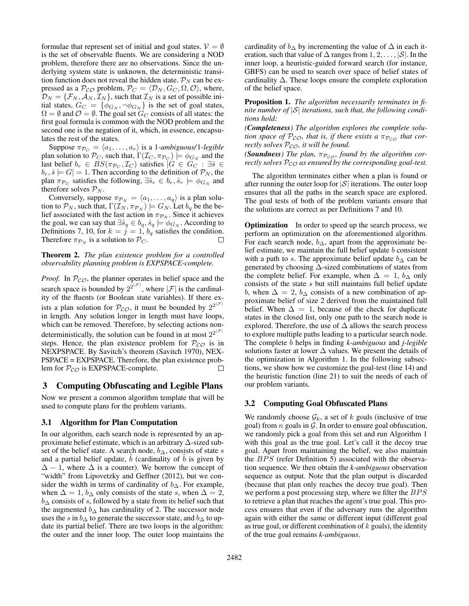formulae that represent set of initial and goal states.  $V = \emptyset$ is the set of observable fluents. We are considering a NOD problem, therefore there are no observations. Since the underlying system state is unknown, the deterministic transition function does not reveal the hidden state.  $P_N$  can be expressed as a  $P_{C\mathcal{O}}$  problem,  $P_C = \langle \mathcal{D}_N, G_C, \Omega, \mathcal{O} \rangle$ , where,  $\mathcal{D}_N = {\mathcal{F}_N, \mathcal{A}_N, \mathcal{I}_N}$ , such that  $\mathcal{I}_N$  is a set of possible initial states,  $G_C = \{\phi_{G_N}, \neg \phi_{G_N}\}$  is the set of goal states,  $\Omega = \emptyset$  and  $\mathcal{O} = \emptyset$ . The goal set  $G_C$  consists of all states: the first goal formula is common with the NOD problem and the second one is the negation of it, which, in essence, encapsulates the rest of the states.

Suppose  $\pi_{\mathcal{P}_C} = \langle a_1, \ldots, a_r \rangle$  is a 1*-ambiguous/*1*-legible* plan solution to  $\mathcal{P}_C$ , such that,  $\Gamma(\mathcal{I}_C, \pi_{\mathcal{P}_C}) \models \phi_{G_N}$  and the last belief  $b_r \in BS(\pi_{\mathcal{P}_C}, \mathcal{I}_C)$  satisfies  $|G \in G_C : \exists \hat{s} \in$  $b_r, \hat{s} \models G$  = 1. Then according to the definition of  $\mathcal{P}_N$ , the plan  $\pi_{\mathcal{P}_C}$  satisfies the following,  $\exists \hat{s}_r \in b_r, \hat{s}_r \models \phi_{G_N}$  and therefore solves  $P_N$ .

Conversely, suppose  $\pi_{\mathcal{P}_N} = \langle a_1, \ldots, a_q \rangle$  is a plan solution to  $\mathcal{P}_N$ , such that,  $\Gamma(\mathcal{I}_N, \pi_{\mathcal{P}_N}) \models G_N$ . Let  $b_q$  be the belief associated with the last action in  $\pi_{\mathcal{P}_N}$ . Since it achieves the goal, we can say that  $\exists \hat{s}_q \in b_q, \hat{s}_q \models \phi_{G_N}$ . According to Definitions 7, 10, for  $k = j = 1$ ,  $b_q$  satisfies the condition. Therefore  $\pi_{\mathcal{P}_N}$  is a solution to  $\mathcal{P}_C$ . □

Theorem 2. *The plan existence problem for a controlled observability planning problem is EXPSPACE-complete.*

*Proof.* In  $P_{CO}$ , the planner operates in belief space and the search space is bounded by  $2^{2^{|\mathcal{F}|}}$ , where  $|\mathcal{F}|$  is the cardinality of the fluents (or Boolean state variables). If there exists a plan solution for  $P_{CO}$ , it must be bounded by  $2^{2^{|\mathcal{F}|}}$ in length. Any solution longer in length must have loops, which can be removed. Therefore, by selecting actions nondeterministically, the solution can be found in at most  $2^{2^{|\mathcal{F}|}}$ steps. Hence, the plan existence problem for  $P_{C\mathcal{O}}$  is in NEXPSPACE. By Savitch's theorem (Savitch 1970), NEX-PSPACE = EXPSPACE. Therefore, the plan existence problem for  $P_{CO}$  is EXPSPACE-complete.  $\Box$ 

#### 3 Computing Obfuscating and Legible Plans

Now we present a common algorithm template that will be used to compute plans for the problem variants.

#### 3.1 Algorithm for Plan Computation

In our algorithm, each search node is represented by an approximate belief estimate, which is an arbitrary ∆-sized subset of the belief state. A search node,  $b_{\Delta}$ , consists of state s and a partial belief update,  $b$  (cardinality of  $b$  is given by  $\Delta - 1$ , where  $\Delta$  is a counter). We borrow the concept of "width" from Lipovetzky and Geffner (2012), but we consider the width in terms of cardinality of  $b_{\Delta}$ . For example, when  $\Delta = 1$ ,  $b_{\Delta}$  only consists of the state s, when  $\Delta = 2$ ,  $b_\Delta$  consists of s, followed by a state from its belief such that the augmented  $b_{\Delta}$  has cardinality of 2. The successor node uses the s in  $b_{\Delta}$  to generate the successor state, and  $b_{\Delta}$  to update its partial belief. There are two loops in the algorithm: the outer and the inner loop. The outer loop maintains the cardinality of  $b_{\Delta}$  by incrementing the value of  $\Delta$  in each iteration, such that value of  $\Delta$  ranges from  $1, 2, \ldots, |\mathcal{S}|$ . In the inner loop, a heuristic-guided forward search (for instance, GBFS) can be used to search over space of belief states of cardinality ∆. These loops ensure the complete exploration of the belief space.

Proposition 1. *The algorithm necessarily terminates in finite number of* |S| *iterations, such that, the following conditions hold:*

*(Completeness) The algorithm explores the complete solution space of*  $P_{CO}$ *, that is, if there exists a*  $\pi_{P_{CO}}$  *that correctly solves*  $P_{CO}$ *, it will be found.* 

*(Soundness)* The plan,  $\pi_{\mathcal{P}_{CO}}$ , found by the algorithm cor*rectly solves*  $P_{CO}$  *as ensured by the corresponding goal-test.* 

The algorithm terminates either when a plan is found or after running the outer loop for  $|S|$  iterations. The outer loop ensures that all the paths in the search space are explored. The goal tests of both of the problem variants ensure that the solutions are correct as per Definitions 7 and 10.

Optimization In order to speed up the search process, we perform an optimization on the aforementioned algorithm. For each search node,  $b_{\Delta}$ , apart from the approximate belief estimate, we maintain the full belief update  $b$  consistent with a path to s. The approximate belief update  $b_{\Delta}$  can be generated by choosing ∆-sized combinations of states from the complete belief. For example, when  $\Delta = 1$ ,  $b_{\Delta}$  only consists of the state s but still maintains full belief update b, when  $\Delta = 2$ ,  $b_{\Delta}$  consists of a new combination of approximate belief of size 2 derived from the maintained full belief. When  $\Delta = 1$ , because of the check for duplicate states in the closed list, only one path to the search node is explored. Therefore, the use of  $\Delta$  allows the search process to explore multiple paths leading to a particular search node. The complete b helps in finding *k-ambiguous* and *j-legible* solutions faster at lower  $\Delta$  values. We present the details of the optimization in Algorithm 1. In the following subsections, we show how we customize the goal-test (line 14) and the heuristic function (line 21) to suit the needs of each of our problem variants.

#### 3.2 Computing Goal Obfuscated Plans

We randomly choose  $\mathcal{G}_k$ , a set of k goals (inclusive of true goal) from  $n$  goals in  $\mathcal G$ . In order to ensure goal obfuscation, we randomly pick a goal from this set and run Algorithm 1 with this goal as the true goal. Let's call it the decoy true goal. Apart from maintaining the belief, we also maintain the  $BPS$  (refer Definition 5) associated with the observation sequence. We then obtain the *k-ambiguous* observation sequence as output. Note that the plan output is discarded (because that plan only reaches the decoy true goal). Then we perform a post processing step, where we filter the  $BPS$ to retrieve a plan that reaches the agent's true goal. This process ensures that even if the adversary runs the algorithm again with either the same or different input (different goal as true goal, or different combination of  $k$  goals), the identity of the true goal remains *k-ambiguous*.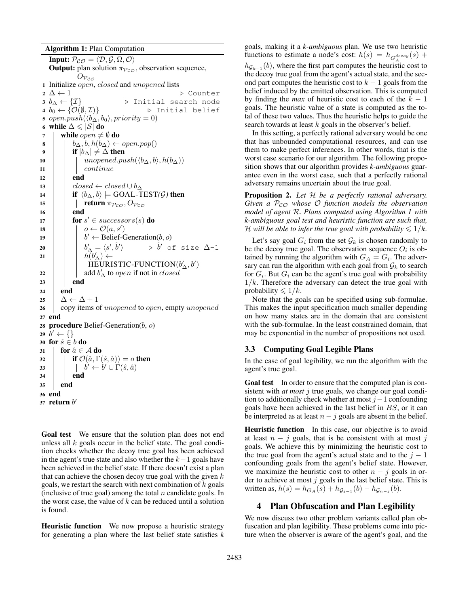Algorithm 1: Plan Computation

**Input:**  $\mathcal{P}_{\mathcal{CO}} = \langle \mathcal{D}, \mathcal{G}, \Omega, \mathcal{O} \rangle$ **Output:** plan solution  $\pi_{\mathcal{P}_{CO}}$ , observation sequence,  $O_{\mathcal{P}co}$ 1 Initialize open, closed and unopened lists 2  $\Delta \leftarrow 1$ <sup>2</sup> ∆ ← 1 . Counter 3  $b_\Delta \leftarrow \{\mathcal{I}\}$  b Initial search node<br>4  $b_0 \leftarrow \{ \mathcal{O}(\emptyset, \mathcal{I}) \}$  b Initial belief ▷ Initial belief 5 open.push $(\langle b_\Delta, b_0 \rangle, priority = 0)$ 6 while  $\Delta \leqslant |\mathcal{S}|$  do 7 while  $open \neq \emptyset$  do 8 | |  $b_{\Delta}, b, h(b_{\Delta}) \leftarrow open.pop()$ 9 | | if  $|b_{\Delta}| \neq \Delta$  then 10 | unopened.push $(\langle b_\Delta, b \rangle, h(b_\Delta))$  $11$  | continue  $12$  end 13 | closed ← closed ∪  $b_{\Delta}$ 14 **if**  $\langle b_\Delta, b \rangle \models GOAL-TEST(\mathcal{G})$  then 15 **return**  $\pi_{\mathcal{P}_{\mathcal{CO}}}$ ,  $O_{\mathcal{P}_{\mathcal{CO}}}$  $16$  end 17 **for**  $s' \in successors(s)$  do 18  $\vert \vert$   $o \leftarrow \mathcal{O}(a, s')$ 19 | |  $\vert$  b  $b' \leftarrow$  Belief-Generation(b, o) 20 | | |  $b$  $\Delta'_{\Delta} = \langle s', \tilde{b}' \rangle$  $\rangle$  >  $\tilde{b}'$  of size  $\Delta-1$ 21  $\vert \vert \vert \bar{h(b'_\Delta)} \leftarrow$ HEURISTIC-FUNCTION $(b'_\Delta, b')$ 22  $\parallel$   $\parallel$  add  $b'_{\Delta}$  to *open* if not in *closed*  $23$  end 24 end 25  $\Delta \leftarrow \Delta + 1$ 26 copy items of unopened to open, empty unopened 27 end 28 procedure Belief-Generation( $b, o$ ) 29  $\overline{b}' \leftarrow \{\}$ 30 for  $\hat{s} \in b$  do 31 for  $\hat{a} \in \mathcal{A}$  do  $32$  if  $\mathcal{O}(\hat{a}, \Gamma(\hat{s}, \hat{a})) = o$  then 33  $\vert \vert \vert \bar{b}' \leftarrow \dot{b}' \cup \Gamma(\hat{s}, \hat{a})$ 34 end 35 end 36 end 37 return  $b'$ 

Goal test We ensure that the solution plan does not end unless all  $k$  goals occur in the belief state. The goal condition checks whether the decoy true goal has been achieved in the agent's true state and also whether the  $k-1$  goals have been achieved in the belief state. If there doesn't exist a plan that can achieve the chosen decoy true goal with the given  $k$ goals, we restart the search with next combination of  $k$  goals (inclusive of true goal) among the total  $n$  candidate goals. In the worst case, the value of  $k$  can be reduced until a solution is found.

Heuristic function We now propose a heuristic strategy for generating a plan where the last belief state satisfies *k*

goals, making it a *k-ambiguous* plan. We use two heuristic functions to estimate a node's cost:  $h(s) = h_{G_4^{decoy}}(s) +$  $h_{\mathcal{G}_{k-1}}(b)$ , where the first part computes the heuristic cost to the decoy true goal from the agent's actual state, and the second part computes the heuristic cost to  $k - 1$  goals from the belief induced by the emitted observation. This is computed by finding the *max* of heuristic cost to each of the  $k - 1$ goals. The heuristic value of a state is computed as the total of these two values. Thus the heuristic helps to guide the search towards at least  $k$  goals in the observer's belief.

In this setting, a perfectly rational adversary would be one that has unbounded computational resources, and can use them to make perfect inferences. In other words, that is the worst case scenario for our algorithm. The following proposition shows that our algorithm provides *k-ambiguous* guarantee even in the worst case, such that a perfectly rational adversary remains uncertain about the true goal.

Proposition 2. *Let* H *be a perfectly rational adversary. Given a P<sub>CO</sub>* whose *O* function models the observation *model of agent* R*. Plans computed using Algorithm 1 with k-ambiguous goal test and heuristic function are such that,* H will be able to infer the true goal with probability  $\leq 1/k$ .

Let's say goal  $G_i$  from the set  $\mathcal{G}_k$  is chosen randomly to be the decoy true goal. The observation sequence  $O_i$  is obtained by running the algorithm with  $G_A = G_i$ . The adversary can run the algorithm with each goal from  $\mathcal{G}_k$  to search for  $G_i$ . But  $G_i$  can be the agent's true goal with probability  $1/k$ . Therefore the adversary can detect the true goal with probability  $\leq 1/k$ .

Note that the goals can be specified using sub-formulae. This makes the input specification much smaller depending on how many states are in the domain that are consistent with the sub-formulae. In the least constrained domain, that may be exponential in the number of propositions not used.

## 3.3 Computing Goal Legible Plans

In the case of goal legibility, we run the algorithm with the agent's true goal.

Goal test In order to ensure that the computed plan is consistent with *at most j* true goals, we change our goal condition to additionally check whether at most  $j-1$  confounding goals have been achieved in the last belief in  $BS$ , or it can be interpreted as at least  $n - j$  goals are absent in the belief.

Heuristic function In this case, our objective is to avoid at least  $n - j$  goals, that is be consistent with at most j goals. We achieve this by minimizing the heuristic cost to the true goal from the agent's actual state and to the  $j - 1$ confounding goals from the agent's belief state. However, we maximize the heuristic cost to other  $n - j$  goals in order to achieve at most  $j$  goals in the last belief state. This is written as,  $h(s) = h_{G_A}(s) + h_{\mathcal{G}_{j-1}}(b) - h_{\mathcal{G}_{n-j}}(b)$ .

## 4 Plan Obfuscation and Plan Legibility

We now discuss two other problem variants called plan obfuscation and plan legibility. These problems come into picture when the observer is aware of the agent's goal, and the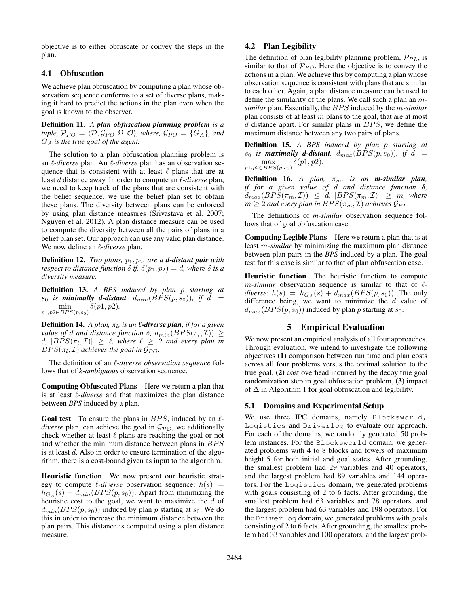objective is to either obfuscate or convey the steps in the plan.

## 4.1 Obfuscation

We achieve plan obfuscation by computing a plan whose observation sequence conforms to a set of diverse plans, making it hard to predict the actions in the plan even when the goal is known to the observer.

Definition 11. *A plan obfuscation planning problem is a tuple,*  $\mathcal{P}_{PO} = \langle \mathcal{D}, \mathcal{G}_{PO}, \Omega, \mathcal{O} \rangle$ *, where,*  $\mathcal{G}_{PO} = \{G_A\}$ *, and* G<sup>A</sup> *is the true goal of the agent.*

The solution to a plan obfuscation planning problem is an *l*-diverse plan. An *l*-diverse plan has an observation sequence that is consistent with at least  $\ell$  plans that are at least d distance away. In order to compute an  $\ell$ -diverse plan, we need to keep track of the plans that are consistent with the belief sequence, we use the belief plan set to obtain these plans. The diversity between plans can be enforced by using plan distance measures (Srivastava et al. 2007; Nguyen et al. 2012). A plan distance measure can be used to compute the diversity between all the pairs of plans in a belief plan set. Our approach can use any valid plan distance. We now define an  $\ell$ -*diverse* plan.

**Definition 12.** *Two plans,*  $p_1$ ,  $p_2$ *, are a d-distant pair with respect to distance function*  $\delta$  *if,*  $\delta(p_1, p_2) = d$ *, where*  $\delta$  *is a diversity measure.*

Definition 13. *A BPS induced by plan p starting at*  $s_0$  *is minimally d-distant*,  $d_{min}(BPS(p, s_0))$ *, if*  $d =$  $\min_{p_1, p_2 \in BPS(p, s_0)} \delta(p_1, p_2)$ .

**Definition 14.** A plan, π<sub>l</sub>, is an **l-diverse plan**, if for a given *value of d and distance function*  $\delta$ *,*  $d_{min}(BPS(\pi_l, \mathcal{I})) \geq$  $d, |BPS(\pi_l, \mathcal{I})| \geq \ell$ , where  $\ell \geq 2$  and every plan in  $BPS(\pi_l, \mathcal{I})$  achieves the goal in  $\mathcal{G}_{PO}$ .

The definition of an *l*-diverse observation sequence follows that of *k-ambiguous* observation sequence.

Computing Obfuscated Plans Here we return a plan that is at least  $\ell$ -*diverse* and that maximizes the plan distance between *BPS* induced by a plan.

**Goal test** To ensure the plans in  $BPS$ , induced by an  $\ell$ *diverse* plan, can achieve the goal in  $\mathcal{G}_{P\mathcal{O}}$ , we additionally check whether at least  $\ell$  plans are reaching the goal or not and whether the minimum distance between plans in  $BPS$ is at least d. Also in order to ensure termination of the algorithm, there is a cost-bound given as input to the algorithm.

Heuristic function We now present our heuristic strategy to compute  $\ell$ -diverse observation sequence:  $h(s)$  =  $h_{G_A}(s) - d_{min}(BPS(p, s_0))$ . Apart from minimizing the heuristic cost to the goal, we want to maximize the  $d$  of  $d_{min}(BPS(p, s_0))$  induced by plan p starting at  $s_0$ . We do this in order to increase the minimum distance between the plan pairs. This distance is computed using a plan distance measure.

## 4.2 Plan Legibility

The definition of plan legibility planning problem,  $\mathcal{P}_{PL}$ , is similar to that of  $\mathcal{P}_{PO}$ . Here the objective is to convey the actions in a plan. We achieve this by computing a plan whose observation sequence is consistent with plans that are similar to each other. Again, a plan distance measure can be used to define the similarity of the plans. We call such a plan an m*similar* plan. Essentially, the BPS induced by the *m-similar* plan consists of at least  $m$  plans to the goal, that are at most  $d$  distance apart. For similar plans in  $BPS$ , we define the maximum distance between any two pairs of plans.

Definition 15. *A BPS induced by plan p starting at*  $s_0$  *is maximally d-distant*,  $d_{max}(BPS(p, s_0))$ *, if*  $d =$  $\max_{p1, p2 \in BPS(p, s_0)} \delta(p1, p2)$ .

Definition 16. *A plan,*  $\pi_m$ , *is an m-similar plan*, *if for a given value of d and distance function* δ*,*  $d_{max}(BPS(\pi_m, \mathcal{I})) \leq d$ ,  $|BPS(\pi_m, \mathcal{I})| \geq m$ , where  $m \geq 2$  *and every plan in*  $BPS(\pi_m, \mathcal{I})$  *achieves*  $\mathcal{G}_{PL}$ *.* 

The definitions of *m-similar* observation sequence follows that of goal obfuscation case.

Computing Legible Plans Here we return a plan that is at least m*-similar* by minimizing the maximum plan distance between plan pairs in the *BPS* induced by a plan. The goal test for this case is similar to that of plan obfuscation case.

Heuristic function The heuristic function to compute *m*-similar observation sequence is similar to that of  $\ell$ *diverse:*  $h(s) = h_{G_A}(s) + d_{max}(BPS(p, s_0))$ . The only difference being, we want to minimize the  $d$  value of  $d_{max}(BPS(p, s_0))$  induced by plan p starting at  $s_0$ .

## 5 Empirical Evaluation

We now present an empirical analysis of all four approaches. Through evaluation, we intend to investigate the following objectives (1) comparison between run time and plan costs across all four problems versus the optimal solution to the true goal, (2) cost overhead incurred by the decoy true goal randomization step in goal obfuscation problem, (3) impact of  $\Delta$  in Algorithm 1 for goal obfuscation and legibility.

#### 5.1 Domains and Experimental Setup

We use three IPC domains, namely Blocksworld, Logistics and Driverlog to evaluate our approach. For each of the domains, we randomly generated 50 problem instances. For the Blocksworld domain, we generated problems with 4 to 8 blocks and towers of maximum height 5 for both initial and goal states. After grounding, the smallest problem had 29 variables and 40 operators, and the largest problem had 89 variables and 144 operators. For the Logistics domain, we generated problems with goals consisting of 2 to 6 facts. After grounding, the smallest problem had 63 variables and 78 operators, and the largest problem had 63 variables and 198 operators. For the Driverlog domain, we generated problems with goals consisting of 2 to 6 facts. After grounding, the smallest problem had 33 variables and 100 operators, and the largest prob-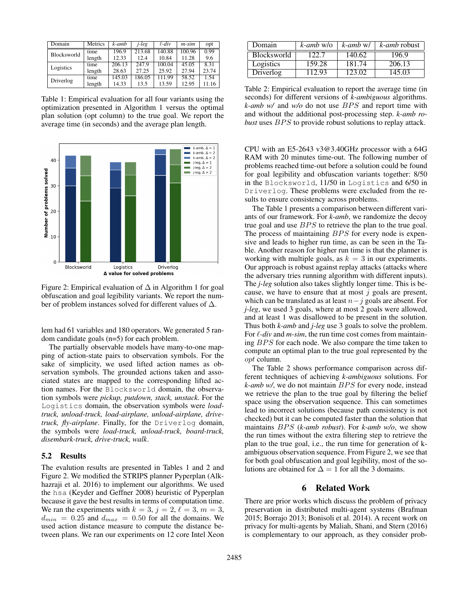| Domain      | Metrics | k-amb  | j-leg  | $\ell$ -div | $m$ -sim | opt   |
|-------------|---------|--------|--------|-------------|----------|-------|
| Blocksworld | time    | 196.9  | 213.68 | 140.88      | 100.96   | 0.99  |
|             | length  | 12.33  | 12.4   | 10.84       | 11.28    | 9.6   |
| Logistics   | time    | 206.13 | 247.9  | 100.04      | 45.05    | 8.31  |
|             | length  | 28.63  | 27.25  | 25.92       | 27.94    | 23.74 |
| Driverlog   | time    | 145.03 | 186.05 | 111.99      | 58.52    | 1.54  |
|             | length  | 14.33  | 13.5   | 13.59       | 12.95    | 11.16 |

Table 1: Empirical evaluation for all four variants using the optimization presented in Algorithm 1 versus the optimal plan solution (opt column) to the true goal. We report the average time (in seconds) and the average plan length.



Figure 2: Empirical evaluation of  $\Delta$  in Algorithm 1 for goal obfuscation and goal legibility variants. We report the number of problem instances solved for different values of  $\Delta$ .

lem had 61 variables and 180 operators. We generated 5 random candidate goals (n=5) for each problem.

The partially observable models have many-to-one mapping of action-state pairs to observation symbols. For the sake of simplicity, we used lifted action names as observation symbols. The grounded actions taken and associated states are mapped to the corresponding lifted action names. For the Blocksworld domain, the observation symbols were *pickup, putdown, stack, unstack*. For the Logistics domain, the observation symbols were *loadtruck, unload-truck, load-airplane, unload-airplane, drivetruck, fly-airplane*. Finally, for the Driverlog domain, the symbols were *load-truck, unload-truck, board-truck, disembark-truck, drive-truck, walk*.

#### 5.2 Results

The evalution results are presented in Tables 1 and 2 and Figure 2. We modified the STRIPS planner Pyperplan (Alkhazraji et al. 2016) to implement our algorithms. We used the hsa (Keyder and Geffner 2008) heuristic of Pyperplan because it gave the best results in terms of computation time. We ran the experiments with  $k = 3$ ,  $j = 2$ ,  $\ell = 3$ ,  $m = 3$ ,  $d_{min}$  = 0.25 and  $d_{max}$  = 0.50 for all the domains. We used action distance measure to compute the distance between plans. We ran our experiments on 12 core Intel Xeon

| Domain      | k-amb w/o | k-amb w/ | <i>k-amb</i> robust |
|-------------|-----------|----------|---------------------|
| Blocksworld | 122.7     | 140.62   | 196.9               |
| Logistics   | 159.28    | 181.74   | 206.13              |
| Driverlog   | 112.93    | 123.02   | 145.03              |

Table 2: Empirical evaluation to report the average time (in seconds) for different versions of *k-ambiguous* algorithms. *k-amb w/* and *w/o* do not use BPS and report time with and without the additional post-processing step. *k-amb robust* uses BPS to provide robust solutions to replay attack.

CPU with an E5-2643 v3@3.40GHz processor with a 64G RAM with 20 minutes time-out. The following number of problems reached time-out before a solution could be found for goal legibility and obfuscation variants together: 8/50 in the Blocksworld, 11/50 in Logistics and 6/50 in Driverlog. These problems were excluded from the results to ensure consistency across problems.

The Table 1 presents a comparison between different variants of our framework. For *k-amb*, we randomize the decoy true goal and use  $BPS$  to retrieve the plan to the true goal. The process of maintaining  $BPS$  for every node is expensive and leads to higher run time, as can be seen in the Table. Another reason for higher run time is that the planner is working with multiple goals, as  $k = 3$  in our experiments. Our approach is robust against replay attacks (attacks where the adversary tries running algorithm with different inputs). The *j-leg* solution also takes slightly longer time. This is because, we have to ensure that at most  $j$  goals are present, which can be translated as at least  $n-j$  goals are absent. For *j-leg*, we used 3 goals, where at most 2 goals were allowed, and at least 1 was disallowed to be present in the solution. Thus both *k-amb* and *j-leg* use 3 goals to solve the problem. For  $\ell$ -div and *m*-sim, the run time cost comes from maintaining  $BPS$  for each node. We also compare the time taken to compute an optimal plan to the true goal represented by the opt column.

The Table 2 shows performance comparison across different techniques of achieving *k-ambiguous* solutions. For *k-amb w/*, we do not maintain *BPS* for every node, instead we retrieve the plan to the true goal by filtering the belief space using the observation sequence. This can sometimes lead to incorrect solutions (because path consistency is not checked) but it can be computed faster than the solution that maintains *BPS* (*k-amb robust*). For *k-amb w/o*, we show the run times without the extra filtering step to retrieve the plan to the true goal, i.e., the run time for generation of kambiguous observation sequence. From Figure 2, we see that for both goal obfuscation and goal legibility, most of the solutions are obtained for  $\Delta = 1$  for all the 3 domains.

## 6 Related Work

There are prior works which discuss the problem of privacy preservation in distributed multi-agent systems (Brafman 2015; Borrajo 2013; Bonisoli et al. 2014). A recent work on privacy for multi-agents by Maliah, Shani, and Stern (2016) is complementary to our approach, as they consider prob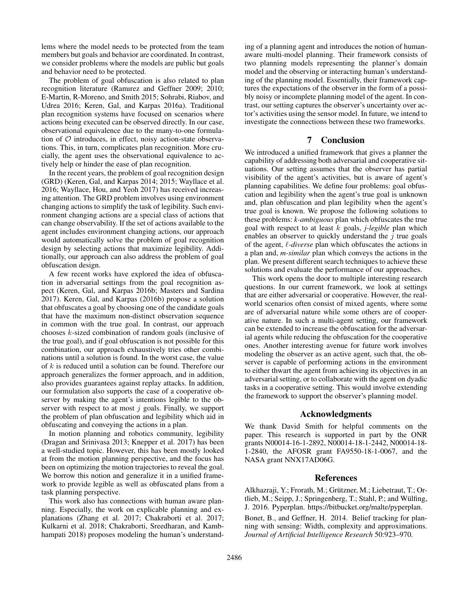lems where the model needs to be protected from the team members but goals and behavior are coordinated. In contrast, we consider problems where the models are public but goals and behavior need to be protected.

The problem of goal obfuscation is also related to plan recognition literature (Ramırez and Geffner 2009; 2010; E-Martin, R-Moreno, and Smith 2015; Sohrabi, Riabov, and Udrea 2016; Keren, Gal, and Karpas 2016a). Traditional plan recognition systems have focused on scenarios where actions being executed can be observed directly. In our case, observational equivalence due to the many-to-one formulation of  $O$  introduces, in effect, noisy action-state observations. This, in turn, complicates plan recognition. More crucially, the agent uses the observational equivalence to actively help or hinder the ease of plan recognition.

In the recent years, the problem of goal recognition design (GRD) (Keren, Gal, and Karpas 2014; 2015; Wayllace et al. 2016; Wayllace, Hou, and Yeoh 2017) has received increasing attention. The GRD problem involves using environment changing actions to simplify the task of legibility. Such environment changing actions are a special class of actions that can change observability. If the set of actions available to the agent includes environment changing actions, our approach would automatically solve the problem of goal recognition design by selecting actions that maximize legibility. Additionally, our approach can also address the problem of goal obfuscation design.

A few recent works have explored the idea of obfuscation in adversarial settings from the goal recognition aspect (Keren, Gal, and Karpas 2016b; Masters and Sardina 2017). Keren, Gal, and Karpas (2016b) propose a solution that obfuscates a goal by choosing one of the candidate goals that have the maximum non-distinct observation sequence in common with the true goal. In contrast, our approach chooses k-sized combination of random goals (inclusive of the true goal), and if goal obfuscation is not possible for this combination, our approach exhaustively tries other combinations until a solution is found. In the worst case, the value of k is reduced until a solution can be found. Therefore our approach generalizes the former approach, and in addition, also provides guarantees against replay attacks. In addition, our formulation also supports the case of a cooperative observer by making the agent's intentions legible to the observer with respect to at most  $j$  goals. Finally, we support the problem of plan obfuscation and legibility which aid in obfuscating and conveying the actions in a plan.

In motion planning and robotics community, legibility (Dragan and Srinivasa 2013; Knepper et al. 2017) has been a well-studied topic. However, this has been mostly looked at from the motion planning perspective, and the focus has been on optimizing the motion trajectories to reveal the goal. We borrow this notion and generalize it in a unified framework to provide legible as well as obfuscated plans from a task planning perspective.

This work also has connections with human aware planning. Especially, the work on explicable planning and explanations (Zhang et al. 2017; Chakraborti et al. 2017; Kulkarni et al. 2018; Chakraborti, Sreedharan, and Kambhampati 2018) proposes modeling the human's understanding of a planning agent and introduces the notion of humanaware multi-model planning. Their framework consists of two planning models representing the planner's domain model and the observing or interacting human's understanding of the planning model. Essentially, their framework captures the expectations of the observer in the form of a possibly noisy or incomplete planning model of the agent. In contrast, our setting captures the observer's uncertainty over actor's activities using the sensor model. In future, we intend to investigate the connections between these two frameworks.

#### 7 Conclusion

We introduced a unified framework that gives a planner the capability of addressing both adversarial and cooperative situations. Our setting assumes that the observer has partial visibility of the agent's activities, but is aware of agent's planning capabilities. We define four problems: goal obfuscation and legibility when the agent's true goal is unknown and, plan obfuscation and plan legibility when the agent's true goal is known. We propose the following solutions to these problems: *k-ambiguous* plan which obfuscates the true goal with respect to at least k goals, *j-legible* plan which enables an observer to quickly understand the  $j$  true goals of the agent,  $\ell$ -diverse plan which obfuscates the actions in a plan and, *m-similar* plan which conveys the actions in the plan. We present different search techniques to achieve these solutions and evaluate the performance of our approaches.

This work opens the door to multiple interesting research questions. In our current framework, we look at settings that are either adversarial or cooperative. However, the realworld scenarios often consist of mixed agents, where some are of adversarial nature while some others are of cooperative nature. In such a multi-agent setting, our framework can be extended to increase the obfuscation for the adversarial agents while reducing the obfuscation for the cooperative ones. Another interesting avenue for future work involves modeling the observer as an active agent, such that, the observer is capable of performing actions in the environment to either thwart the agent from achieving its objectives in an adversarial setting, or to collaborate with the agent on dyadic tasks in a cooperative setting. This would involve extending the framework to support the observer's planning model.

#### Acknowledgments

We thank David Smith for helpful comments on the paper. This research is supported in part by the ONR grants N00014-16-1-2892, N00014-18-1-2442, N00014-18- 1-2840, the AFOSR grant FA9550-18-1-0067, and the NASA grant NNX17AD06G.

#### References

Alkhazraji, Y.; Frorath, M.; Grützner, M.; Liebetraut, T.; Ortlieb, M.; Seipp, J.; Springenberg, T.; Stahl, P.; and Wülfing, J. 2016. Pyperplan. https://bitbucket.org/malte/pyperplan.

Bonet, B., and Geffner, H. 2014. Belief tracking for planning with sensing: Width, complexity and approximations. *Journal of Artificial Intelligence Research* 50:923–970.